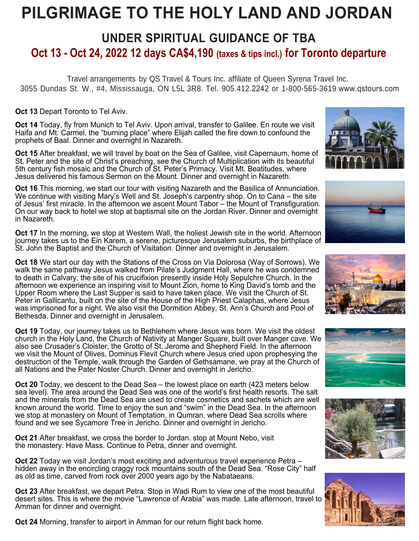# **PILGRIMAGE TO THE HOLY LAND AND JORDAN**

# **UNDER SPIRITUAL GUIDANCE OF TBA Oct 13 - Oct 24, 2022 12 days CA\$4,190 (taxes & tips incl.) for Toronto departure**

Travel arrangements by QS Travel & Tours Inc. affiliate of Queen Syrena Travel Inc. 3055 Dundas St. W., #4, Mississauga, ON L5L 3R8. Tel. 905.412.2242 or 1-800-565-3619 www.qstours.com

**Oct 13** Depart Toronto to Tel Aviv.

**Oct 14** Today, fly from Munich to Tel Aviv. Upon arrival, transfer to Galilee. En route we visit Haifa and Mt. Carmel, the "burning place" where Elijah called the fire down to confound the prophets of Baal. Dinner and overnight in Nazareth.

**Oct 15** After breakfast, we will travel by boat on the Sea of Galilee, visit Capernaum, home of St. Peter and the site of Christ's preaching, see the Church of Multiplication with its beautiful 5th century fish mosaic and the Church of St. Peter's Primacy. Visit Mt. Beatitudes, where Jesus delivered his famous Sermon on the Mount. Dinner and overnight in Nazareth.

**Oct 16** This morning, we start our tour with visiting Nazareth and the Basilica of Annunciation. We continue with visiting Mary's Well and St. Joseph's carpentry shop. On to Cana – the site of Jesus' first miracle. In the afternoon we ascent Mount Tabor – the Mount of Transfiguration. On our way back to hotel we stop at baptismal site on the Jordan River. Dinner and overnight in Nazareth.

**Oct 17** In the morning, we stop at Western Wall, the holiest Jewish site in the world. Afternoon journey takes us to the Ein Karem, a serene, picturesque Jerusalem suburbs, the birthplace of St. John the Baptist and the Church of Visitation. Dinner and overnight in Jerusalem.

**Oct 18** We start our day with the Stations of the Cross on Via Dolorosa (Way of Sorrows). We walk the same pathway Jesus walked from Pilate's Judgment Hall, where he was condemned to death in Calvary, the site of his crucifixion presently inside Holy Sepulchre Church. In the afternoon we experience an inspiring visit to Mount Zion, home to King David's tomb and the Upper Room where the Last Supper is said to have taken place. We visit the Church of St. Peter in Gallicantu, built on the site of the House of the High Priest Calaphas, where Jesus was imprisoned for a night. We also visit the Dormition Abbey, St. Ann's Church and Pool of Bethesda. Dinner and overnight in Jerusalem.

**Oct 19** Today, our journey takes us to Bethlehem where Jesus was born. We visit the oldest church in the Holy Land, the Church of Nativity at Manger Square, built over Manger cave. We also see Crusader's Cloister, the Grotto of St. Jerome and Shepherd Field. In the afternoon we visit the Mount of Olives, Dominus Flevit Church where Jesus cried upon prophesying the destruction of the Temple, walk through the Garden of Gethsamane, we pray at the Church of all Nations and the Pater Noster Church. Dinner and overnight in Jericho.

**Oct 20** Today, we descent to the Dead Sea – the lowest place on earth (423 meters below sea level). The area around the Dead Sea was one of the world's first health resorts. The salt and the minerals from the Dead Sea are used to create cosmetics and sachets which are well known around the world. Time to enjoy the sun and "swim" in the Dead Sea. In the afternoon we stop at monastery on Mount of Temptation, in Qumran, where Dead Sea scrolls where found and we see Sycamore Tree in Jericho. Dinner and overnight in Jericho.

**Oct 21** After breakfast, we cross the border to Jordan. stop at Mount Nebo, visit the monastery. Have Mass. Continue to Petra, dinner and overnight.

**Oct 22** Today we visit Jordan's most exciting and adventurous travel experience Petra – hidden away in the encircling craggy rock mountains south of the Dead Sea. "Rose City" half as old as time, carved from rock over 2000 years ago by the Nabataeans.

**Oct 23** After breakfast, we depart Petra. Stop in Wadi Rum to view one of the most beautiful desert sites. This is where the movie "Lawrence of Arabia" was made. Late afternoon, travel to Amman for dinner and overnight.

**Oct 24** Morning, transfer to airport in Amman for our return flight back home.